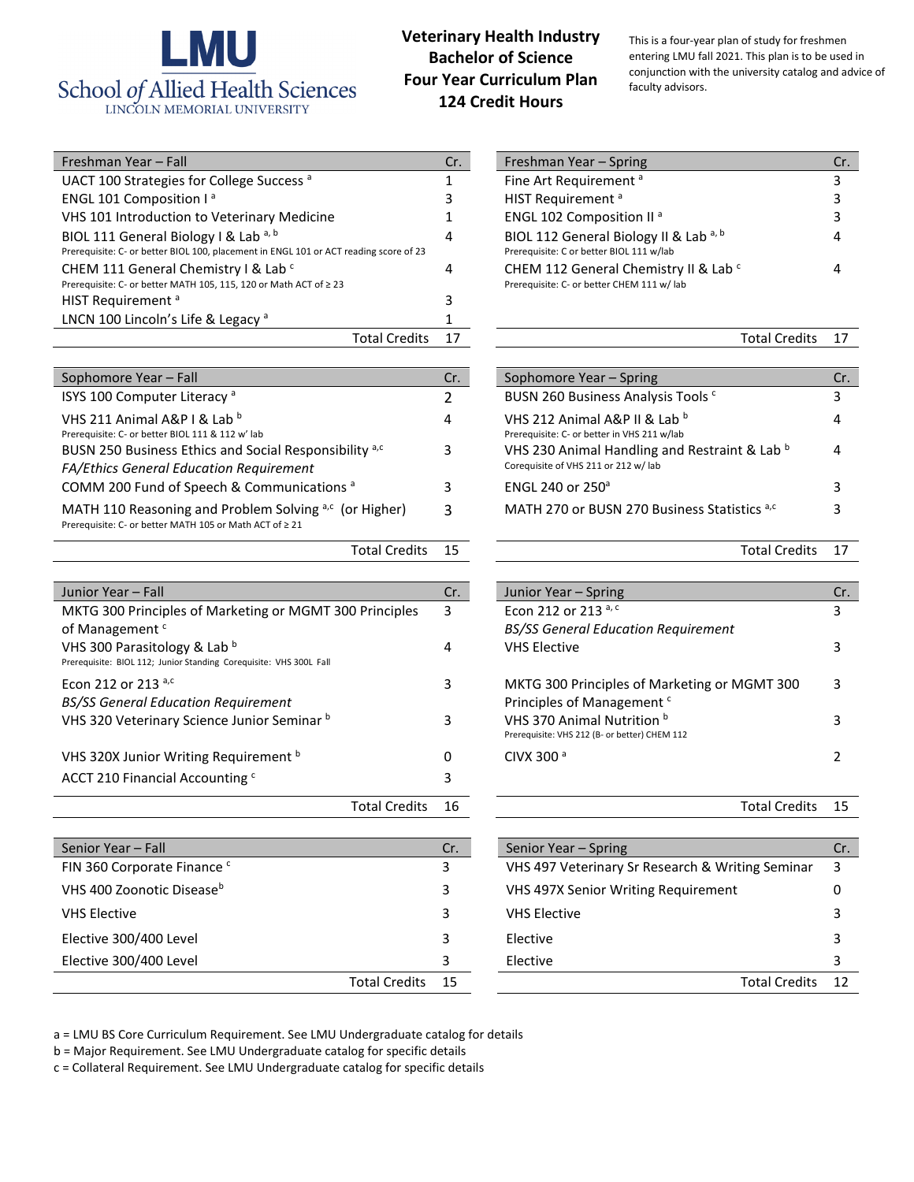

## **Veterinary Health Industry Bachelor of Science Four Year Curriculum Plan 124 Credit Hours**

This is a four-year plan of study for freshmen entering LMU fall 2021. This plan is to be used in conjunction with the university catalog and advice of faculty advisors.

| Cr. | Freshman Year - Spring                                                                         | Cr. |
|-----|------------------------------------------------------------------------------------------------|-----|
| 1   | Fine Art Requirement <sup>a</sup>                                                              | 3   |
| 3   | HIST Requirement <sup>a</sup>                                                                  | 3   |
| 1   | ENGL 102 Composition II <sup>a</sup>                                                           | 3   |
| 4   | BIOL 112 General Biology II & Lab a, b<br>Prerequisite: C or better BIOL 111 w/lab             | 4   |
| 4   | CHEM 112 General Chemistry II & Lab <sup>c</sup><br>Prerequisite: C- or better CHEM 111 w/ lab |     |
|     |                                                                                                |     |

| Total Credits 17 | Total Credits 17 |
|------------------|------------------|
|------------------|------------------|

| Cr. | Sophomore Year - Spring                                                               | Cr. |
|-----|---------------------------------------------------------------------------------------|-----|
| 2   | BUSN 260 Business Analysis Tools <sup>c</sup>                                         | 3   |
| 4   | VHS 212 Animal A&P II & Lab b<br>Prerequisite: C- or better in VHS 211 w/lab          | 4   |
| 3   | VHS 230 Animal Handling and Restraint & Lab b<br>Corequisite of VHS 211 or 212 w/ lab |     |
| 3   | ENGL 240 or 250 <sup>a</sup>                                                          | 3   |
| 3   | MATH 270 or BUSN 270 Business Statistics a,c                                          | R   |
|     |                                                                                       |     |

Total Credits 15 Total Credits 17

| Cr. | Junior Year – Spring                          |   |
|-----|-----------------------------------------------|---|
| 3   | Econ 212 or 213 a, c                          | 3 |
|     | <b>BS/SS General Education Requirement</b>    |   |
| 4   | <b>VHS Elective</b>                           | 3 |
|     |                                               |   |
| 3   | MKTG 300 Principles of Marketing or MGMT 300  | 3 |
|     | Principles of Management <sup>c</sup>         |   |
| 3   | VHS 370 Animal Nutrition <sup>b</sup>         | 3 |
|     | Prerequisite: VHS 212 (B- or better) CHEM 112 |   |
| 0   | CIVX 300 <sup>a</sup>                         |   |
|     |                                               |   |

| Total Credits 16 | Total Credits 15 |  |
|------------------|------------------|--|
|------------------|------------------|--|

|                      | Cr. | Senior Year – Spring                             | Cr. |
|----------------------|-----|--------------------------------------------------|-----|
|                      | 3   | VHS 497 Veterinary Sr Research & Writing Seminar | 3   |
|                      | 3   | <b>VHS 497X Senior Writing Requirement</b>       |     |
|                      | 3   | <b>VHS Elective</b>                              |     |
|                      | 3   | Elective                                         |     |
|                      | 3   | Elective                                         |     |
| <b>Total Credits</b> | 15  | <b>Total Credits</b>                             | 12  |
|                      |     |                                                  |     |

|  | a = LMU BS Core Curriculum Requirement. See LMU Undergraduate catalog for details |
|--|-----------------------------------------------------------------------------------|
|--|-----------------------------------------------------------------------------------|

b = Major Requirement. See LMU Undergraduate catalog for specific details

c = Collateral Requirement. See LMU Undergraduate catalog for specific details

| Freshman Year - Fall                                                                                                           | Cr. | Freshman Year – Spring                                                              | Cr. |
|--------------------------------------------------------------------------------------------------------------------------------|-----|-------------------------------------------------------------------------------------|-----|
| UACT 100 Strategies for College Success <sup>a</sup>                                                                           |     | Fine Art Requirement <sup>a</sup>                                                   |     |
| ENGL 101 Composition I <sup>a</sup>                                                                                            |     | HIST Requirement <sup>a</sup>                                                       |     |
| VHS 101 Introduction to Veterinary Medicine                                                                                    |     | ENGL 102 Composition II <sup>a</sup>                                                |     |
| BIOL 111 General Biology I & Lab a, b<br>Prerequisite: C- or better BIOL 100, placement in ENGL 101 or ACT reading score of 23 | 4   | BIOL 112 General Biology II & Lab a, b<br>Prerequisite: C or better BIOL 111 w/lab  |     |
| CHEM 111 General Chemistry I & Lab c<br>Prerequisite: C- or better MATH 105, 115, 120 or Math ACT of ≥ 23                      | 4   | CHEM 112 General Chemistry II & Lab c<br>Prerequisite: C- or better CHEM 111 w/ lab |     |
| HIST Requirement <sup>a</sup>                                                                                                  |     |                                                                                     |     |
| LNCN 100 Lincoln's Life & Legacy <sup>a</sup>                                                                                  |     |                                                                                     |     |
| <b>Total Credits</b>                                                                                                           | 17  | <b>Total Credits</b>                                                                | -17 |

| Sophomore Year - Fall                                                                                                                      | Cr.    | Sophomore Year - Spring                                                                                                       | Cr. |
|--------------------------------------------------------------------------------------------------------------------------------------------|--------|-------------------------------------------------------------------------------------------------------------------------------|-----|
| ISYS 100 Computer Literacy <sup>a</sup>                                                                                                    |        | BUSN 260 Business Analysis Tools <sup>c</sup>                                                                                 |     |
| VHS 211 Animal A&P I & Lab b<br>Prerequisite: C- or better BIOL 111 & 112 w' lab<br>BUSN 250 Business Ethics and Social Responsibility a,c | 4<br>3 | VHS 212 Animal A&P II & Lab b<br>Prerequisite: C- or better in VHS 211 w/lab<br>VHS 230 Animal Handling and Restraint & Lab b |     |
| <b>FA/Ethics General Education Requirement</b>                                                                                             |        | Corequisite of VHS 211 or 212 w/ lab                                                                                          |     |
| COMM 200 Fund of Speech & Communications <sup>a</sup>                                                                                      |        | ENGL 240 or $250^{\circ}$                                                                                                     |     |
| MATH 110 Reasoning and Problem Solving a,c (or Higher)<br>Prerequisite: C- or better MATH 105 or Math ACT of ≥ 21                          | 3      | MATH 270 or BUSN 270 Business Statistics a,c                                                                                  |     |
|                                                                                                                                            |        |                                                                                                                               |     |

| Junior Year - Fall                                                                                 |                      | Cr. | Junior Year – Spring                                                                  | Cr. |
|----------------------------------------------------------------------------------------------------|----------------------|-----|---------------------------------------------------------------------------------------|-----|
| MKTG 300 Principles of Marketing or MGMT 300 Principles                                            |                      | 3   | Econ 212 or 213 a, c                                                                  | 3   |
| of Management <sup>c</sup>                                                                         |                      |     | <b>BS/SS General Education Requirement</b>                                            |     |
| VHS 300 Parasitology & Lab b<br>Prerequisite: BIOL 112; Junior Standing Corequisite: VHS 300L Fall |                      | 4   | <b>VHS Elective</b>                                                                   |     |
| Econ 212 or 213 $a,c$<br><b>BS/SS General Education Requirement</b>                                |                      | 3   | MKTG 300 Principles of Marketing or MGMT 300<br>Principles of Management <sup>c</sup> | 3   |
| VHS 320 Veterinary Science Junior Seminar b                                                        |                      | 3   | VHS 370 Animal Nutrition b<br>Prerequisite: VHS 212 (B- or better) CHEM 112           |     |
| VHS 320X Junior Writing Requirement b                                                              |                      | 0   | CIVX 300 $a$                                                                          |     |
| ACCT 210 Financial Accounting c                                                                    |                      | 3   |                                                                                       |     |
|                                                                                                    | <b>Total Credits</b> | 16  | <b>Total Credits</b>                                                                  | 15  |

| Senior Year - Fall                    | Cr. | Senior Year – Spring                             | Cr. |
|---------------------------------------|-----|--------------------------------------------------|-----|
| FIN 360 Corporate Finance c           |     | VHS 497 Veterinary Sr Research & Writing Seminar | 3   |
| VHS 400 Zoonotic Disease <sup>b</sup> | 3   | VHS 497X Senior Writing Requirement              | 0   |
| <b>VHS Elective</b>                   |     | <b>VHS Elective</b>                              |     |
| Elective 300/400 Level                |     | Elective                                         |     |
| Elective 300/400 Level                |     | Elective                                         |     |
| <b>Total Credits</b>                  | -15 | <b>Total Credits</b>                             | -12 |